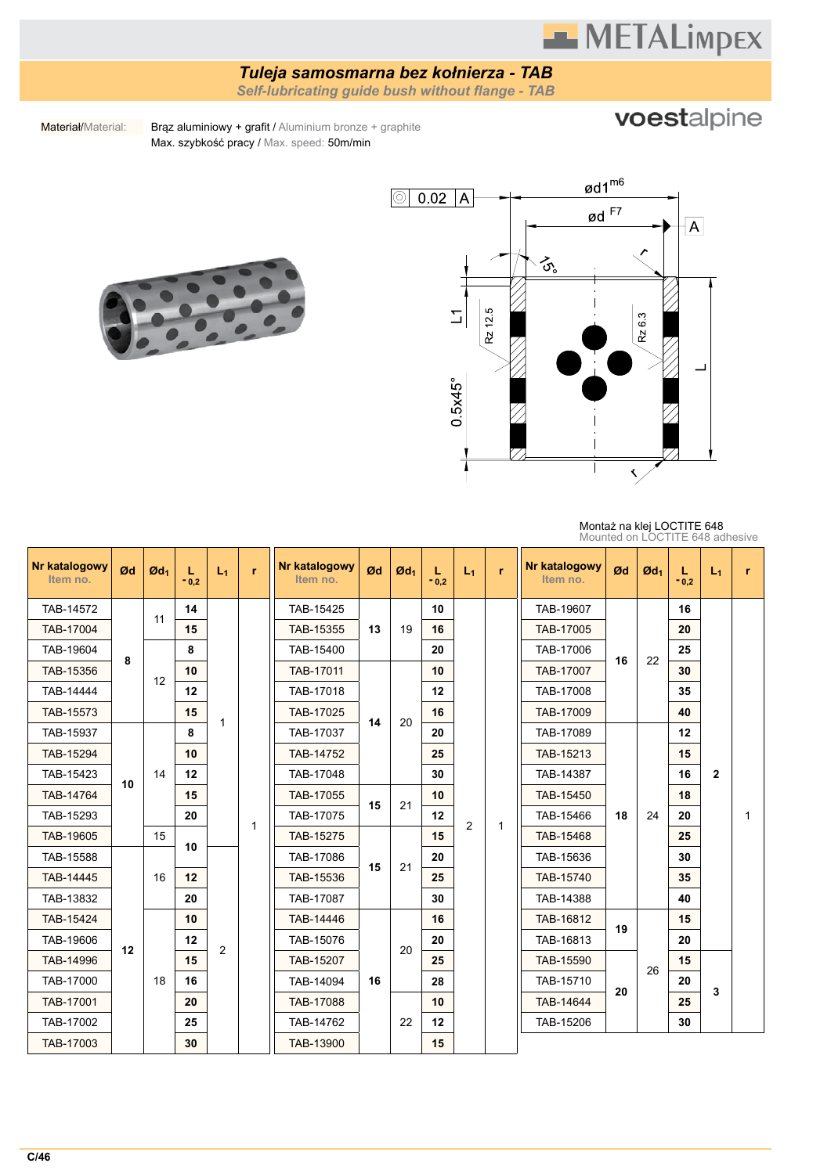## **METALimpEX**

### *Tuleja samosmarna bez kołnierza - TAB*

*Self-lubricating guide bush without flange - TAB*

## voestalpine

Materiał/Material: Brąz aluminiowy + grafit / Aluminium bronze + graphite Max. szybkość pracy / Max. speed: 50m/min





#### Montaż na klej LOCTITE 648 Mounted on LOCTITE 648 adhesive

| Nr katalogowy<br>Item no. | Ød | $\mathfrak{G}d_1$ | L<br>$-0.2$               | $L_1$ | r         | Nr katalogowy<br>Item no. | Ød        | $\mathfrak{A}_1$ | L<br>$-0.2$ | $L_1$          | r.           | <b>Nr katalogowy</b><br>Item no. | Ød        | $\mathfrak{G}d_1$ | L<br>$-0,2$ | $L_1$        | r         |  |  |    |  |  |
|---------------------------|----|-------------------|---------------------------|-------|-----------|---------------------------|-----------|------------------|-------------|----------------|--------------|----------------------------------|-----------|-------------------|-------------|--------------|-----------|--|--|----|--|--|
| TAB-14572                 |    | 11                | 14                        |       |           | TAB-15425                 |           |                  | 10          |                |              | TAB-19607                        |           |                   | 16          |              |           |  |  |    |  |  |
| TAB-17004                 |    |                   | 15                        |       |           | TAB-15355                 | 13        | 19               | 16          |                |              | TAB-17005                        |           | 22                | 20          |              |           |  |  |    |  |  |
| TAB-19604                 | 8  |                   | 8                         |       |           | TAB-15400                 |           |                  | 20          |                |              | TAB-17006                        | 16        |                   | 25          |              |           |  |  |    |  |  |
| TAB-15356                 |    |                   | 10                        |       |           | TAB-17011                 |           | 10               |             |                | TAB-17007    |                                  |           | 30                |             |              |           |  |  |    |  |  |
| TAB-14444                 |    | 12                | 12                        |       |           | TAB-17018                 |           |                  | 12          |                |              | TAB-17008                        |           |                   | 35          |              |           |  |  |    |  |  |
| TAB-15573                 |    |                   | 15                        |       | TAB-17025 | 14                        | 20        | 16               |             |                | TAB-17009    |                                  |           | 40                |             |              |           |  |  |    |  |  |
| TAB-15937                 |    |                   | $\mathbf{1}$<br>8         |       |           | TAB-17037                 |           |                  | 20          |                |              | TAB-17089                        |           |                   | 12          |              |           |  |  |    |  |  |
| TAB-15294                 | 10 |                   |                           | 10    |           |                           | TAB-14752 |                  |             | 25             |              |                                  | TAB-15213 |                   |             | 15           |           |  |  |    |  |  |
| TAB-15423                 |    | 14                | 12                        |       |           | TAB-17048                 |           |                  | 30          | $\overline{c}$ |              | TAB-14387                        |           |                   | 16          | $\mathbf{2}$ |           |  |  |    |  |  |
| TAB-14764                 |    |                   | 15                        |       |           | TAB-17055                 | 15        | 21               | 10          |                |              | TAB-15450                        |           |                   | 18          |              |           |  |  |    |  |  |
| TAB-15293                 |    |                   | 20                        |       | 1         | TAB-17075                 |           |                  | 12          |                | $\mathbf{1}$ | TAB-15466                        | 18        | 24                | 20          |              | 1         |  |  |    |  |  |
| TAB-19605                 |    | 15                | 10                        |       |           | TAB-15275                 |           |                  | 15          |                |              | TAB-15468                        |           |                   | 25          |              |           |  |  |    |  |  |
| TAB-15588                 |    |                   |                           |       | TAB-17086 | 15                        | 21        | 20               |             |                | TAB-15636    |                                  |           | 30                |             |              |           |  |  |    |  |  |
| TAB-14445                 |    | 16                | 12                        |       |           | TAB-15536                 |           |                  | 25          |                |              | TAB-15740                        |           |                   | 35          |              |           |  |  |    |  |  |
| TAB-13832                 |    |                   | 20                        |       |           | TAB-17087                 |           |                  | 30          |                |              | TAB-14388                        |           |                   | 40          |              |           |  |  |    |  |  |
| TAB-15424                 |    |                   | 10 <sup>1</sup>           |       |           | TAB-14446                 |           |                  | 16          |                |              | TAB-16812                        | 19        |                   | 15          |              |           |  |  |    |  |  |
| TAB-19606                 | 12 |                   | 12<br>2<br>15<br>16<br>20 |       |           | TAB-15076                 |           | 20               | 20          |                |              | TAB-16813                        |           |                   | 20          |              |           |  |  |    |  |  |
| TAB-14996                 |    |                   |                           |       |           | TAB-15207                 |           |                  | 25          |                |              | TAB-15590                        |           | 26                | 15          |              |           |  |  |    |  |  |
| TAB-17000                 |    | 18                |                           |       |           | TAB-14094                 | 16        |                  | 28          |                |              | TAB-15710                        | 20        |                   | 20          | 3            |           |  |  |    |  |  |
| TAB-17001                 |    |                   |                           |       |           | TAB-17088                 |           |                  | 10          |                |              | TAB-14644                        |           |                   | 25          |              |           |  |  |    |  |  |
| TAB-17002                 |    |                   |                           |       |           |                           |           | 25               |             |                | TAB-14762    |                                  | 22        | 12                |             |              | TAB-15206 |  |  | 30 |  |  |
| TAB-17003                 |    |                   | 30                        |       |           | TAB-13900                 |           |                  | 15          |                |              |                                  |           |                   |             |              |           |  |  |    |  |  |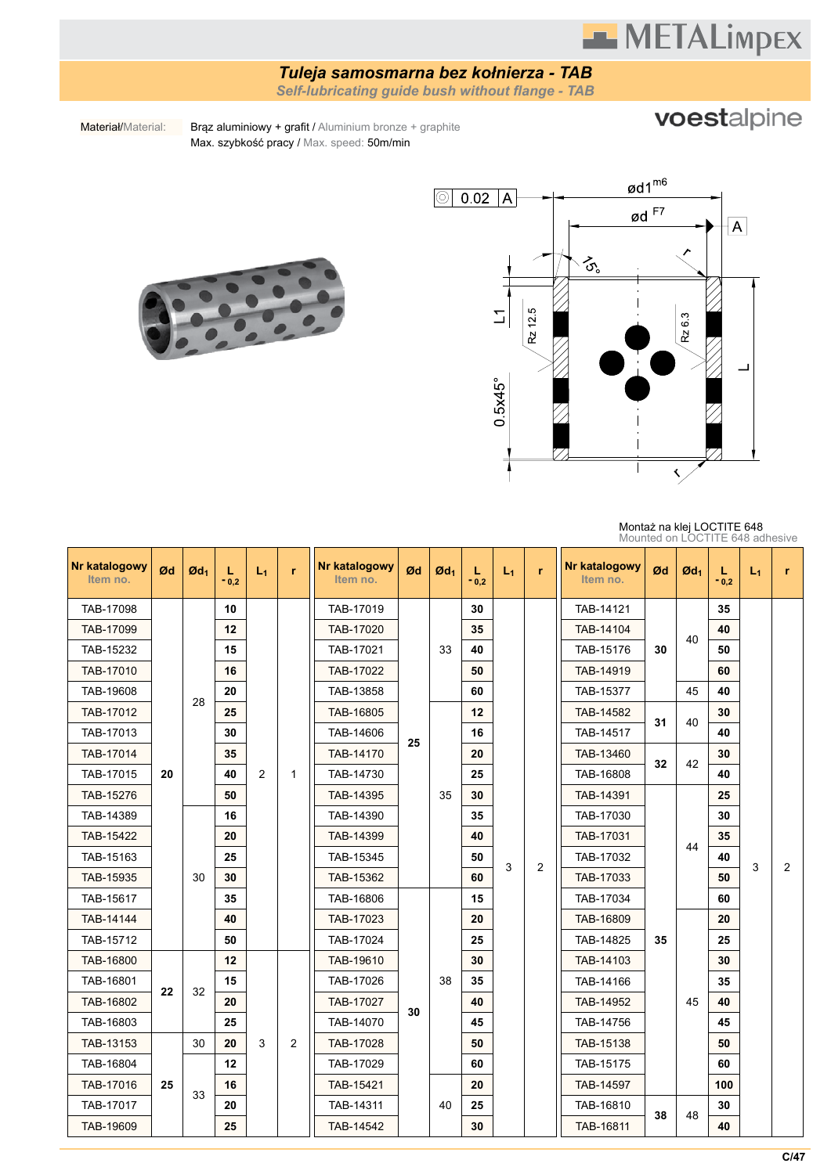# **METALimpex**

#### *Tuleja samosmarna bez kołnierza - TAB*

*Self-lubricating guide bush without flange - TAB*

### voestalpine

Materiał/Material: Brąz aluminiowy + grafit / Aluminium bronze + graphite Max. szybkość pracy / Max. speed: 50m/min





| Nr katalogowy<br>Item no. | Ød | $\mathfrak{A}_1$ | L<br>$-0,2$ | $L_1$          | r         | Nr katalogowy<br>Item no. | Ød        | $\mathfrak{gd}_1$ | L<br>$-0.2$ | $L_1$     | r         | Nr katalogowy<br>Item no. | Ød        | $\mathfrak{gd}_1$ | L<br>$-0.2$ | $L_1$     | r.             |    |    |           |  |  |    |  |  |
|---------------------------|----|------------------|-------------|----------------|-----------|---------------------------|-----------|-------------------|-------------|-----------|-----------|---------------------------|-----------|-------------------|-------------|-----------|----------------|----|----|-----------|--|--|----|--|--|
| TAB-17098                 |    |                  |             |                |           | 10                        |           |                   | TAB-17019   |           |           | 30                        |           |                   | TAB-14121   |           |                | 35 |    |           |  |  |    |  |  |
| TAB-17099                 |    |                  | 12          |                |           | TAB-17020                 |           |                   | 35          |           |           | TAB-14104                 |           | 40                | 40          |           |                |    |    |           |  |  |    |  |  |
| TAB-15232                 |    |                  |             |                |           |                           |           | 15                |             |           | TAB-17021 |                           | 33        | 40                |             |           | TAB-15176      | 30 |    | 50        |  |  |    |  |  |
| TAB-17010                 |    |                  |             |                |           | 16                        |           |                   | TAB-17022   |           |           | 50                        |           |                   | TAB-14919   |           |                | 60 |    |           |  |  |    |  |  |
| TAB-19608                 |    | 28               | 20          |                |           | TAB-13858                 |           |                   | 60          |           |           | TAB-15377                 |           | 45                | 40          |           |                |    |    |           |  |  |    |  |  |
| TAB-17012                 |    |                  |             | 25             |           |                           | TAB-16805 |                   |             | $12 \,$   |           |                           | TAB-14582 | 31                | 40          | 30        |                |    |    |           |  |  |    |  |  |
| TAB-17013                 |    |                  | 30          |                |           | TAB-14606<br>25           |           | 16                |             |           | TAB-14517 |                           |           | 40                |             |           |                |    |    |           |  |  |    |  |  |
| TAB-17014                 |    |                  | 35          |                |           | TAB-14170                 |           |                   | 20          |           |           | TAB-13460                 | 32        | 42                | 30          |           |                |    |    |           |  |  |    |  |  |
| TAB-17015                 | 20 |                  | 40          | $\overline{2}$ | 1         | TAB-14730                 |           |                   | 25          |           |           | TAB-16808                 |           |                   | 40          |           |                |    |    |           |  |  |    |  |  |
| TAB-15276                 |    |                  | 50          |                |           |                           |           |                   |             |           |           |                           |           | TAB-14395         |             | 35        | 30             |    |    | TAB-14391 |  |  | 25 |  |  |
| TAB-14389                 |    |                  | 16          |                |           | TAB-14390                 |           |                   | 35          |           |           | TAB-17030                 |           |                   | 30          |           |                |    |    |           |  |  |    |  |  |
| TAB-15422                 |    |                  | 20          |                |           | TAB-14399                 |           |                   | 40          |           |           | TAB-17031                 |           | 44                | 35          |           |                |    |    |           |  |  |    |  |  |
| TAB-15163                 |    |                  | 25          |                |           | TAB-15345                 |           |                   | 50          | 3         | 2         | TAB-17032                 |           |                   | 40          | 3         | $\overline{2}$ |    |    |           |  |  |    |  |  |
| TAB-15935                 |    | 30               | 30          |                |           | TAB-15362                 |           |                   | 60          |           |           | TAB-17033                 |           |                   | 50          |           |                |    |    |           |  |  |    |  |  |
| TAB-15617                 |    |                  |             |                |           |                           |           |                   |             |           | 35        |                           |           | TAB-16806         |             |           | 15             |    |    | TAB-17034 |  |  | 60 |  |  |
| TAB-14144                 |    |                  | 40          |                |           | TAB-17023                 |           |                   | 20          |           |           | TAB-16809                 |           |                   | 20          |           |                |    |    |           |  |  |    |  |  |
| TAB-15712                 |    |                  | 50          |                |           | TAB-17024                 |           |                   | 25          |           |           | TAB-14825                 | 35        |                   | 25          |           |                |    |    |           |  |  |    |  |  |
| TAB-16800                 |    |                  | 12          |                |           | TAB-19610                 |           |                   | 30          |           |           | TAB-14103                 |           |                   | 30          |           |                |    |    |           |  |  |    |  |  |
| TAB-16801                 | 22 | 32               | 15          |                |           | TAB-17026                 |           | 38                | 35          |           |           | TAB-14166                 |           |                   | 35          |           |                |    |    |           |  |  |    |  |  |
| TAB-16802                 |    |                  | 20          |                |           | TAB-17027                 | 30        |                   | 40          |           |           | TAB-14952                 |           | 45                | 40          |           |                |    |    |           |  |  |    |  |  |
| TAB-16803                 |    |                  | 25          |                |           | TAB-14070                 |           |                   | 45          |           |           | TAB-14756                 |           |                   | 45          |           |                |    |    |           |  |  |    |  |  |
| TAB-13153                 |    | 30               | 20          | 3              | 2         | TAB-17028                 |           |                   | 50          |           |           | TAB-15138                 |           |                   | 50          |           |                |    |    |           |  |  |    |  |  |
| TAB-16804                 |    |                  |             |                |           |                           | 12        |                   |             | TAB-17029 |           |                           | 60        |                   |             | TAB-15175 |                |    | 60 |           |  |  |    |  |  |
| TAB-17016                 | 25 | 33               | 16<br>20    |                | TAB-15421 |                           |           | 20                |             |           | TAB-14597 |                           |           | 100               |             |           |                |    |    |           |  |  |    |  |  |
| TAB-17017                 |    |                  |             |                | TAB-14311 |                           | 40        | 25                |             |           | TAB-16810 | 38                        | 48        | 30                |             |           |                |    |    |           |  |  |    |  |  |
| TAB-19609                 |    |                  |             | 25             |           |                           | TAB-14542 |                   |             | 30        |           |                           | TAB-16811 |                   |             | 40        |                |    |    |           |  |  |    |  |  |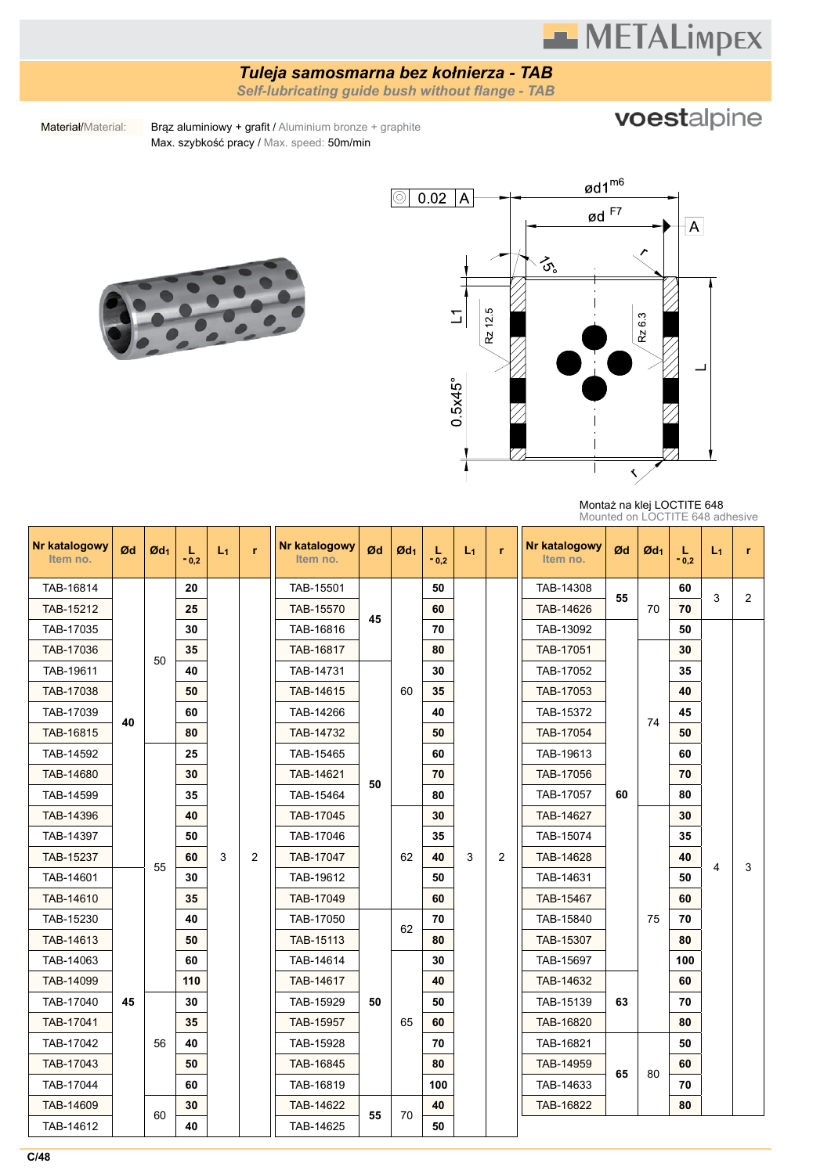## **METALimpEX**

### *Tuleja samosmarna bez kołnierza - TAB*

*Self-lubricating guide bush without flange - TAB*

voestalpine

Materiał/Material: Brąz aluminiowy + grafit / Aluminium bronze + graphite Max. szybkość pracy / Max. speed: 50m/min





Montaż na klej LOCTITE 648 Mounted on LOCTITE 648 adhesive

| Nr katalogowy<br>Item no. | Ød | $\mathfrak{G}d_1$ | L<br>$-0,2$    | $L_1$ | 'n        | Nr katalogowy<br>Item no. | Ød | $\mathfrak{gd}_1$ | L<br>$-0.2$ | $L_1$          | r         | Nr katalogowy<br>Item no. | Ød        | $\mathfrak{G}d_1$ | L<br>$-0,2$ | $L_1$ | r              |           |           |  |    |    |  |           |  |  |    |  |  |
|---------------------------|----|-------------------|----------------|-------|-----------|---------------------------|----|-------------------|-------------|----------------|-----------|---------------------------|-----------|-------------------|-------------|-------|----------------|-----------|-----------|--|----|----|--|-----------|--|--|----|--|--|
| TAB-16814                 |    |                   | 20             |       |           | TAB-15501                 |    |                   | 50          |                |           | TAB-14308                 | 55        |                   | 60          | 3     | $\overline{2}$ |           |           |  |    |    |  |           |  |  |    |  |  |
| TAB-15212                 |    |                   | 25             |       |           | TAB-15570                 | 45 |                   | 60          |                |           | TAB-14626                 |           | 70                | 70          |       |                |           |           |  |    |    |  |           |  |  |    |  |  |
| TAB-17035                 |    |                   | 30             |       |           | TAB-16816                 |    |                   | 70          |                |           | TAB-13092                 |           |                   | 50          |       |                |           |           |  |    |    |  |           |  |  |    |  |  |
| TAB-17036                 |    | 50                | 35             |       |           | TAB-16817                 |    |                   | 80          |                |           | TAB-17051                 |           |                   | 30          |       |                |           |           |  |    |    |  |           |  |  |    |  |  |
| TAB-19611                 |    |                   | 40             |       |           | TAB-14731                 |    |                   | 30          |                |           | TAB-17052                 |           |                   | 35          |       |                |           |           |  |    |    |  |           |  |  |    |  |  |
| TAB-17038                 |    |                   | 50             |       |           | TAB-14615                 |    | 60                | 35          |                |           | TAB-17053                 |           | 74                | 40          |       |                |           |           |  |    |    |  |           |  |  |    |  |  |
| TAB-17039                 | 40 |                   | 60             |       |           | TAB-14266                 |    |                   | 40          |                |           | TAB-15372                 |           |                   | 45          |       |                |           |           |  |    |    |  |           |  |  |    |  |  |
| TAB-16815                 |    |                   | 80             |       |           | TAB-14732                 |    |                   | 50          |                |           | TAB-17054                 |           |                   | 50          |       |                |           |           |  |    |    |  |           |  |  |    |  |  |
| TAB-14592                 |    |                   |                |       |           |                           |    |                   |             |                |           |                           |           |                   | 25          |       |                | TAB-15465 |           |  | 60 |    |  | TAB-19613 |  |  | 60 |  |  |
| TAB-14680                 |    |                   |                |       |           |                           |    |                   |             | 30             |           |                           | TAB-14621 | 50                |             | 70    |                |           | TAB-17056 |  |    | 70 |  |           |  |  |    |  |  |
| TAB-14599                 |    |                   | 35             |       |           | TAB-15464                 |    |                   | 80          |                |           | TAB-17057                 | 60        |                   | 80          |       |                |           |           |  |    |    |  |           |  |  |    |  |  |
| TAB-14396                 |    |                   | 40             |       |           | TAB-17045                 |    |                   | 30          |                |           | TAB-14627                 |           |                   | 30          |       |                |           |           |  |    |    |  |           |  |  |    |  |  |
| TAB-14397                 |    |                   | 50             |       |           | TAB-17046<br>TAB-17047    |    |                   | 35          |                |           | TAB-15074                 |           |                   | 35          |       |                |           |           |  |    |    |  |           |  |  |    |  |  |
| TAB-15237                 |    | 55                | 60             | 3     | 2         |                           | 62 | 40                | 3           | $\overline{2}$ | TAB-14628 |                           |           | 40                | 4           | 3     |                |           |           |  |    |    |  |           |  |  |    |  |  |
| TAB-14601                 |    |                   | 30<br>35<br>40 |       | TAB-19612 |                           |    | 50                |             |                | TAB-14631 |                           |           | 50                |             |       |                |           |           |  |    |    |  |           |  |  |    |  |  |
| TAB-14610                 |    |                   |                |       | TAB-17049 |                           |    | 60                |             |                | TAB-15467 |                           |           | 60                |             |       |                |           |           |  |    |    |  |           |  |  |    |  |  |
| TAB-15230                 |    |                   |                |       |           | TAB-17050                 |    | 62                | 70          |                |           | TAB-15840                 |           | 75                | 70          |       |                |           |           |  |    |    |  |           |  |  |    |  |  |
| TAB-14613                 |    |                   | 50             |       |           | TAB-15113                 |    |                   | 80          |                |           | TAB-15307                 |           |                   | 80          |       |                |           |           |  |    |    |  |           |  |  |    |  |  |
| TAB-14063                 |    |                   | 60             |       |           | TAB-14614                 |    |                   | 30          |                |           | TAB-15697                 |           |                   | 100         |       |                |           |           |  |    |    |  |           |  |  |    |  |  |
| TAB-14099                 |    |                   | 110            |       |           | TAB-14617                 |    |                   | 40          |                |           | TAB-14632                 |           |                   | 60          |       |                |           |           |  |    |    |  |           |  |  |    |  |  |
| TAB-17040                 | 45 |                   | 30             |       |           | TAB-15929                 | 50 |                   | 50          |                |           | TAB-15139                 | 63        |                   | 70          |       |                |           |           |  |    |    |  |           |  |  |    |  |  |
| TAB-17041                 |    |                   | 35             |       |           | TAB-15957                 |    | 65                | 60          |                |           | TAB-16820                 |           |                   | 80          |       |                |           |           |  |    |    |  |           |  |  |    |  |  |
| TAB-17042                 |    | 56                | 40             |       |           | TAB-15928                 |    |                   | 70          |                |           | TAB-16821                 |           |                   | 50          |       |                |           |           |  |    |    |  |           |  |  |    |  |  |
| TAB-17043                 |    |                   | 50             |       |           | TAB-16845                 |    |                   | 80          |                |           | TAB-14959                 | 65        |                   | 60          |       |                |           |           |  |    |    |  |           |  |  |    |  |  |
| TAB-17044                 |    |                   | 60             |       |           | TAB-16819                 |    |                   | 100         |                |           | TAB-14633                 |           | 80                | 70          |       |                |           |           |  |    |    |  |           |  |  |    |  |  |
| TAB-14609                 |    | 60                | 30             |       |           | TAB-14622                 |    | 70                | 40          |                |           | TAB-16822                 |           |                   | 80          |       |                |           |           |  |    |    |  |           |  |  |    |  |  |
| TAB-14612                 |    |                   | 40             |       |           | TAB-14625                 | 55 |                   | 50          |                |           |                           |           |                   |             |       |                |           |           |  |    |    |  |           |  |  |    |  |  |

**C/48**